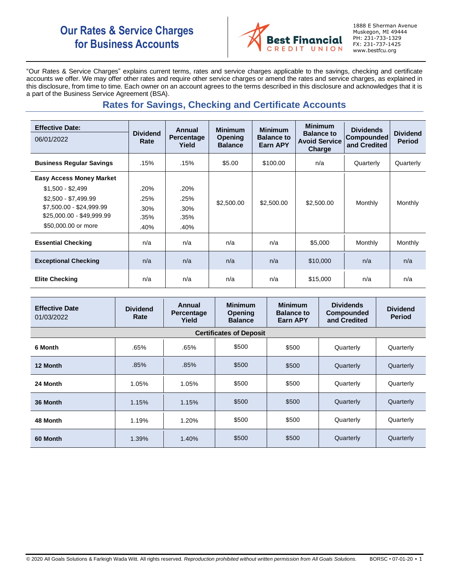# **Our Rates & Service Charges for Business Accounts**



1888 E Sherman Avenue Muskegon, MI 49444 PH: 231-733-1329 FX: 231-737-1425 www.bestfcu.org

"Our Rates & Service Charges" explains current terms, rates and service charges applicable to the savings, checking and certificate accounts we offer. We may offer other rates and require other service charges or amend the rates and service charges, as explained in this disclosure, from time to time. Each owner on an account agrees to the terms described in this disclosure and acknowledges that it is a part of the Business Service Agreement (BSA).

# **Rates for Savings, Checking and Certificate Accounts**

| <b>Effective Date:</b><br>06/01/2022 | <b>Dividend</b><br>Rate | Annual<br><b>Percentage</b><br>Yield | <b>Minimum</b><br><b>Opening</b><br><b>Balance</b> | <b>Minimum</b><br><b>Balance to</b><br>Earn APY | <b>Minimum</b><br><b>Balance to</b><br><b>Avoid Service</b><br>Charge | <b>Dividends</b><br><b>Compounded</b><br>and Credited | <b>Dividend</b><br><b>Period</b> |
|--------------------------------------|-------------------------|--------------------------------------|----------------------------------------------------|-------------------------------------------------|-----------------------------------------------------------------------|-------------------------------------------------------|----------------------------------|
| <b>Business Regular Savings</b>      | .15%                    | .15%                                 | \$5.00                                             | \$100.00                                        | n/a                                                                   | Quarterly                                             | Quarterly                        |
| <b>Easy Access Money Market</b>      |                         |                                      |                                                    |                                                 |                                                                       |                                                       |                                  |
| $$1,500 - $2,499$                    | .20%                    | .20%                                 |                                                    |                                                 |                                                                       |                                                       |                                  |
| $$2,500 - $7,499.99$                 | .25%                    | .25%                                 | \$2,500.00                                         | \$2,500.00                                      | \$2,500.00                                                            | Monthly                                               | Monthly                          |
| \$7,500.00 - \$24,999.99             | .30%                    | .30%                                 |                                                    |                                                 |                                                                       |                                                       |                                  |
| \$25,000.00 - \$49,999.99            | .35%                    | .35%                                 |                                                    |                                                 |                                                                       |                                                       |                                  |
| \$50,000.00 or more                  | .40%                    | .40%                                 |                                                    |                                                 |                                                                       |                                                       |                                  |
| <b>Essential Checking</b>            | n/a                     | n/a                                  | n/a                                                | n/a                                             | \$5,000                                                               | Monthly                                               | Monthly                          |
| <b>Exceptional Checking</b>          | n/a                     | n/a                                  | n/a                                                | n/a                                             | \$10,000                                                              | n/a                                                   | n/a                              |
| <b>Elite Checking</b>                | n/a                     | n/a                                  | n/a                                                | n/a                                             | \$15,000                                                              | n/a                                                   | n/a                              |

| <b>Effective Date</b><br>01/03/2022 | <b>Dividend</b><br>Rate | Annual<br><b>Percentage</b><br>Yield | <b>Minimum</b><br>Opening<br><b>Balance</b> | <b>Minimum</b><br><b>Balance to</b><br><b>Earn APY</b> | <b>Dividends</b><br><b>Compounded</b><br>and Credited | <b>Dividend</b><br><b>Period</b> |
|-------------------------------------|-------------------------|--------------------------------------|---------------------------------------------|--------------------------------------------------------|-------------------------------------------------------|----------------------------------|
| <b>Certificates of Deposit</b>      |                         |                                      |                                             |                                                        |                                                       |                                  |
| 6 Month                             | .65%                    | .65%                                 | \$500                                       | \$500                                                  | Quarterly                                             | Quarterly                        |
| 12 Month                            | .85%                    | .85%                                 | \$500                                       | \$500                                                  | Quarterly                                             | Quarterly                        |
| 24 Month                            | 1.05%                   | 1.05%                                | \$500                                       | \$500                                                  | Quarterly                                             | Quarterly                        |
| 36 Month                            | 1.15%                   | 1.15%                                | \$500                                       | \$500                                                  | Quarterly                                             | Quarterly                        |
| 48 Month                            | 1.19%                   | 1.20%                                | \$500                                       | \$500                                                  | Quarterly                                             | Quarterly                        |
| 60 Month                            | 1.39%                   | 1.40%                                | \$500                                       | \$500                                                  | Quarterly                                             | Quarterly                        |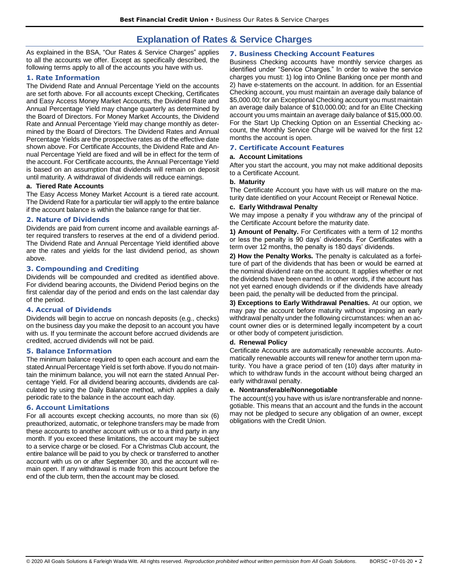## **Explanation of Rates & Service Charges**

As explained in the BSA, "Our Rates & Service Charges" applies to all the accounts we offer. Except as specifically described, the following terms apply to all of the accounts you have with us.

## **1. Rate Information**

The Dividend Rate and Annual Percentage Yield on the accounts are set forth above. For all accounts except Checking, Certificates and Easy Access Money Market Accounts, the Dividend Rate and Annual Percentage Yield may change quarterly as determined by the Board of Directors. For Money Market Accounts, the Dividend Rate and Annual Percentage Yield may change monthly as determined by the Board of Directors. The Dividend Rates and Annual Percentage Yields are the prospective rates as of the effective date shown above. For Certificate Accounts, the Dividend Rate and Annual Percentage Yield are fixed and will be in effect for the term of the account. For Certificate accounts, the Annual Percentage Yield is based on an assumption that dividends will remain on deposit until maturity. A withdrawal of dividends will reduce earnings.

#### **a. Tiered Rate Accounts**

The Easy Access Money Market Account is a tiered rate account. The Dividend Rate for a particular tier will apply to the entire balance if the account balance is within the balance range for that tier.

#### **2. Nature of Dividends**

Dividends are paid from current income and available earnings after required transfers to reserves at the end of a dividend period. The Dividend Rate and Annual Percentage Yield identified above are the rates and yields for the last dividend period, as shown above.

#### **3. Compounding and Crediting**

Dividends will be compounded and credited as identified above. For dividend bearing accounts, the Dividend Period begins on the first calendar day of the period and ends on the last calendar day of the period.

### **4. Accrual of Dividends**

Dividends will begin to accrue on noncash deposits (e.g., checks) on the business day you make the deposit to an account you have with us. If you terminate the account before accrued dividends are credited, accrued dividends will not be paid.

#### **5. Balance Information**

The minimum balance required to open each account and earn the stated Annual Percentage Yield is set forth above. If you do not maintain the minimum balance, you will not earn the stated Annual Percentage Yield. For all dividend bearing accounts, dividends are calculated by using the Daily Balance method, which applies a daily periodic rate to the balance in the account each day.

#### **6. Account Limitations**

For all accounts except checking accounts, no more than six (6) preauthorized, automatic, or telephone transfers may be made from these accounts to another account with us or to a third party in any month. If you exceed these limitations, the account may be subject to a service charge or be closed. For a Christmas Club account, the entire balance will be paid to you by check or transferred to another account with us on or after September 30, and the account will remain open. If any withdrawal is made from this account before the end of the club term, then the account may be closed.

#### **7. Business Checking Account Features**

Business Checking accounts have monthly service charges as identified under "Service Charges." In order to waive the service charges you must: 1) log into Online Banking once per month and 2) have e-statements on the account. In addition. for an Essential Checking account, you must maintain an average daily balance of \$5,000.00; for an Exceptional Checking account you must maintain an average daily balance of \$10,000.00; and for an Elite Checking account you ums maintain an average daily balance of \$15,000.00. For the Start Up Checking Option on an Essential Checking account, the Monthly Service Charge will be waived for the first 12 months the account is open.

#### **7. Certificate Account Features**

#### **a. Account Limitations**

After you start the account, you may not make additional deposits to a Certificate Account.

#### **b. Maturity**

The Certificate Account you have with us will mature on the maturity date identified on your Account Receipt or Renewal Notice.

#### **c. Early Withdrawal Penalty**

We may impose a penalty if you withdraw any of the principal of the Certificate Account before the maturity date.

**1) Amount of Penalty.** For Certificates with a term of 12 months or less the penalty is 90 days' dividends. For Certificates with a term over 12 months, the penalty is 180 days' dividends.

**2) How the Penalty Works.** The penalty is calculated as a forfeiture of part of the dividends that has been or would be earned at the nominal dividend rate on the account. It applies whether or not the dividends have been earned. In other words, if the account has not yet earned enough dividends or if the dividends have already been paid, the penalty will be deducted from the principal.

**3) Exceptions to Early Withdrawal Penalties.** At our option, we may pay the account before maturity without imposing an early withdrawal penalty under the following circumstances: when an account owner dies or is determined legally incompetent by a court or other body of competent jurisdiction.

#### **d. Renewal Policy**

Certificate Accounts are automatically renewable accounts. Automatically renewable accounts will renew for another term upon maturity. You have a grace period of ten (10) days after maturity in which to withdraw funds in the account without being charged an early withdrawal penalty.

#### **e. Nontransferable/Nonnegotiable**

The account(s) you have with us is/are nontransferable and nonnegotiable. This means that an account and the funds in the account may not be pledged to secure any obligation of an owner, except obligations with the Credit Union.